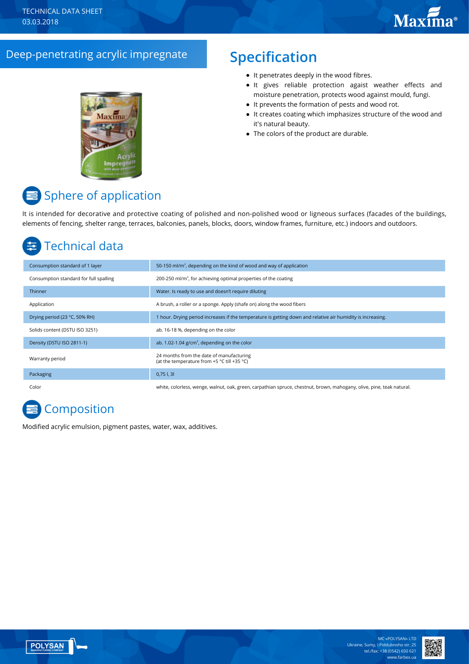## Deep-penetrating аcrylic impregnate **Specification**



- It penetrates deeply in the wood fibres.
- It gives reliable protection agaist weather effects and moisture penetration, protects wood against mould, fungi.
- It prevents the formation of pests and wood rot.
- It creates coating which imphasizes structure of the wood and it's natural beauty.
- The colors of the product are durable.

# **E** Sphere of application

It is intended for decorative and protective coating of polished and non-polished wood or ligneous surfaces (facades of the buildings, elements of fencing, shelter range, terraces, balconies, panels, blocks, doors, window frames, furniture, etc.) indoors and outdoors.

## Technical data

| Consumption standard of 1 layer        | 50-150 ml/m <sup>2</sup> , depending on the kind of wood and way of application                                       |
|----------------------------------------|-----------------------------------------------------------------------------------------------------------------------|
| Consumption standard for full spalling | 200-250 ml/m <sup>2</sup> , for achieving optimal properties of the coating                                           |
| <b>Thinner</b>                         | Water. Is ready to use and doesn't require diluting                                                                   |
| Application                            | A brush, a roller or a sponge. Apply (shafe on) along the wood fibers                                                 |
| Drying period (23 °C, 50% RH)          | 1 hour. Drying period increases if the temperature is getting down and relative air humidity is increasing.           |
| Solids content (DSTU ISO 3251)         | ab. 16-18 %, depending on the color                                                                                   |
| Density (DSTU ISO 2811-1)              | ab. 1.02-1.04 $g/cm3$ , depending on the color                                                                        |
| Warranty period                        | 24 months from the date of manufacturing<br>(at the temperature from +5 °C till +35 °C)                               |
| Packaging                              | $0,75$ I, 3I                                                                                                          |
| Color                                  | white, colorless, wenge, walnut, oak, green, carpathian spruce, chestnut, brown, mahogany, olive, pine, teak natural. |

# **Composition**

Modified acrylic emulsion, pigment pastes, water, wax, additives.